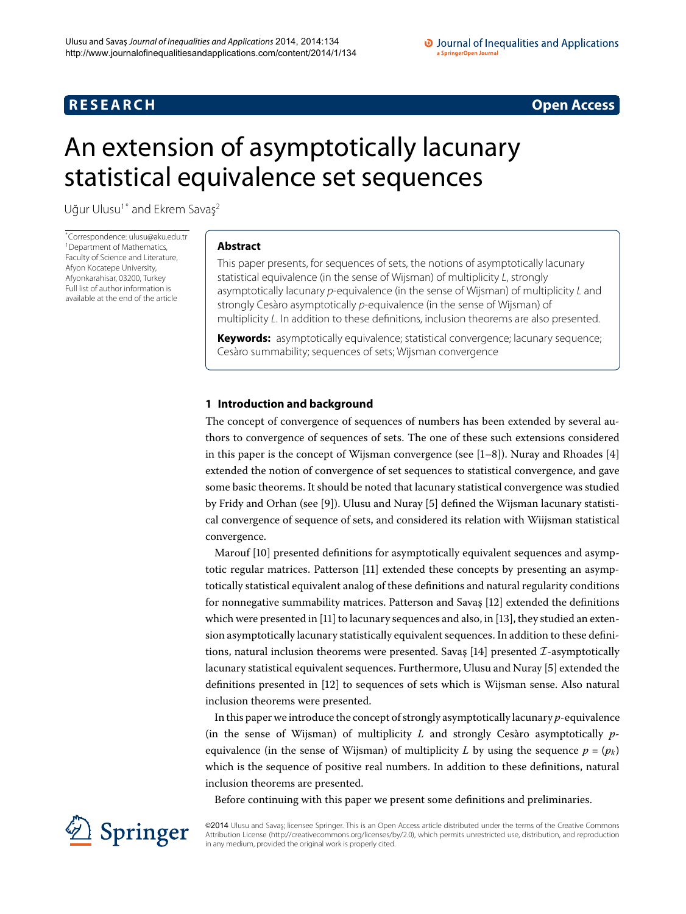## **R E S E A R C H Open Access**

# <span id="page-0-0"></span>An extension of asymptotically lacunary statistical equivalence set sequences

Uğur Ulusu<sup>[1](#page-7-0)[\\*](#page-0-0)</sup> and Ekrem Savaş<sup>[2](#page-7-1)</sup>

\* Correspondence: [ulusu@aku.edu.tr](mailto:ulusu@aku.edu.tr) <sup>[1](#page-7-0)</sup> Department of Mathematics, Faculty of Science and Literature, Afyon Kocatepe University, Afyonkarahisar, 03200, Turkey Full list of author information is available at the end of the article

#### **Abstract**

This paper presents, for sequences of sets, the notions of asymptotically lacunary statistical equivalence (in the sense of Wijsman) of multiplicity L, strongly asymptotically lacunary p-equivalence (in the sense of Wijsman) of multiplicity L and strongly Cesàro asymptotically p-equivalence (in the sense of Wijsman) of multiplicity L. In addition to these definitions, inclusion theorems are also presented.

**Keywords:** asymptotically equivalence; statistical convergence; lacunary sequence; Cesàro summability; sequences of sets; Wijsman convergence

### **1 Introduction and background**

The concept of convergence of sequences of numbers has been extended by several authors to convergence of sequences of sets. The one of these such extensions considered in this paper is the concept of Wijsman convergence (see  $[1-8]$  $[1-8]$ ). Nuray and Rhoades [4] extended the notion of convergence of set sequences to statistical convergence, and gave some basic theorems. It should be noted that lacunary statistical convergence was studied by Fridy and Orhan (see [9[\]](#page-7-6)). Ulusu and Nuray [5] defined the Wijsman lacunary statistical convergence of sequence of sets, and considered its relation with Wiijsman statistical convergence.

Marouf [10[\]](#page-7-7) presented definitions for asymptotically equivalent sequences and asymp-totic regular matrices. Patterson [11[\]](#page-7-8) extended these concepts by presenting an asymptotically statistical equivalent analog of these definitions and natural regularity conditions for nonnegative summability matrices. Patterson and Savaş [12[\]](#page-7-9) extended the definitions which were presented in  $[11]$  $[11]$  to lacunary sequences and also, in  $[13]$ , they studied an extension asymptotically lacunary statistically equivalent sequences. In addition to these defini-tions, natural inclusion theorems were presented. Savas [\[](#page-7-11)14] presented  $\mathcal{I}$ -asymptotically lacunary statistical equivalent sequences. Furthermore, Ulusu and Nuray [5[\]](#page-7-6) extended the definitions presented in [\[](#page-7-9)12] to sequences of sets which is Wijsman sense. Also natural inclusion theorems were presented.

In this paper we introduce the concept of strongly asymptotically lacunary *p*-equivalence (in the sense of Wijsman) of multiplicity *L* and strongly Cesàro asymptotically *p*equivalence (in the sense of Wijsman) of multiplicity *L* by using the sequence  $p = (p_k)$ which is the sequence of positive real numbers. In addition to these definitions, natural inclusion theorems are presented.

Before continuing with this paper we present some definitions and preliminaries.



©2014 Ulusu and Savaş; licensee Springer. This is an Open Access article distributed under the terms of the Creative Commons Attribution License [\(http://creativecommons.org/licenses/by/2.0](http://creativecommons.org/licenses/by/2.0)), which permits unrestricted use, distribution, and reproduction in any medium, provided the original work is properly cited.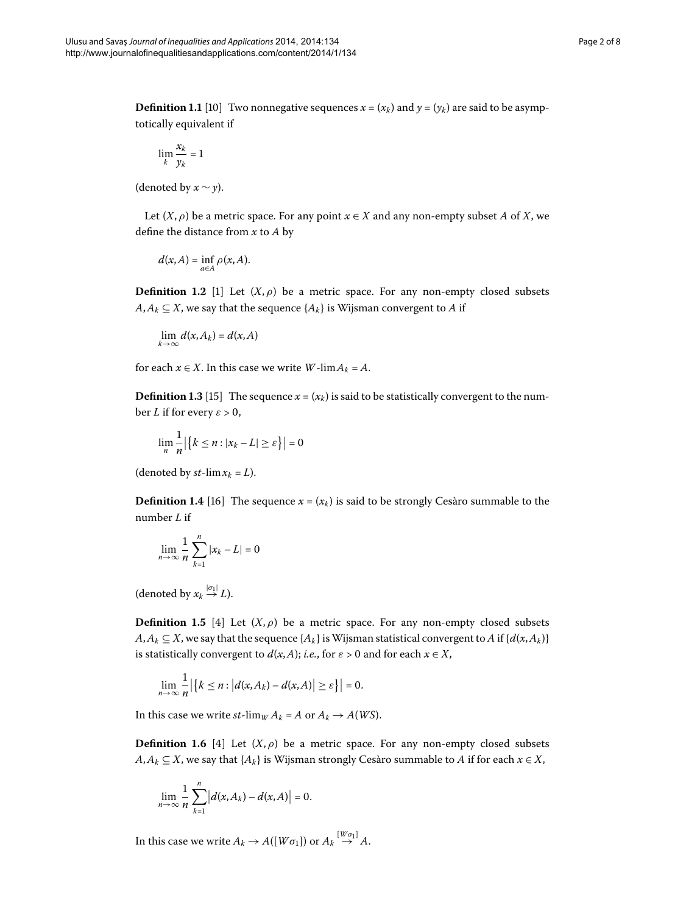<span id="page-1-0"></span>**Definition 1.1** [10] Two nonnegative sequences  $x = (x_k)$  and  $y = (y_k)$  are said to be asymptotically equivalent if

$$
\lim_k \frac{x_k}{y_k} = 1
$$

(denoted by  $x \sim y$ ).

Let  $(X, \rho)$  be a metric space. For any point  $x \in X$  and any non-empty subset *A* of *X*, we define the distance from *x* to *A* by

$$
d(x,A)=\inf_{a\in A}\rho(x,A).
$$

**Definition 1.2** [\[](#page-7-2)1] Let  $(X, \rho)$  be a metric space. For any non-empty closed subsets  $A, A_k \subseteq X$ , we say that the sequence  $\{A_k\}$  is Wijsman convergent to *A* if

$$
\lim_{k\to\infty}d(x,A_k)=d(x,A)
$$

for each  $x \in X$ . In this case we write *W*-lim $A_k = A$ .

**Definition 1.3** [\[](#page-7-12)15] The sequence  $x = (x_k)$  is said to be statistically convergent to the number *L* if for every  $\varepsilon > 0$ ,

$$
\lim_{n} \frac{1}{n} |\{k \le n : |x_k - L| \ge \varepsilon\}| = 0
$$

(denoted by  $st$ -lim $x_k = L$ ).

**Definition 1.4** [\[](#page-7-13)16] The sequence  $x = (x_k)$  is said to be strongly Cesàro summable to the number *L* if

$$
\lim_{n\to\infty}\frac{1}{n}\sum_{k=1}^n|x_k-L|=0
$$

(denoted by  $x_k \stackrel{|\sigma_1|}{\rightarrow} L$ ).

**Definition 1.5** [4] Let  $(X, \rho)$  be a metric space. For any non-empty closed subsets  $A, A_k \subseteq X$ , we say that the sequence  $\{A_k\}$  is Wijsman statistical convergent to *A* if  $\{d(x, A_k)\}$ is statistically convergent to  $d(x, A)$ ; *i.e.*, for  $\varepsilon > 0$  and for each  $x \in X$ ,

$$
\lim_{n\to\infty}\frac{1}{n}\big|\big\{k\leq n:\big|d(x,A_k)-d(x,A)\big|\geq \varepsilon\big\}\big|=0.
$$

In this case we write  $st$ -lim<sub>*W*</sub>  $A_k = A$  or  $A_k \rightarrow A(WS)$ .

**Definition 1.6** [4] Let  $(X, \rho)$  be a metric space. For any non-empty closed subsets *A*,*A<sub>k</sub>* ⊆ *X*, we say that {*A<sub>k</sub>*} is Wijsman strongly Cesàro summable to *A* if for each  $x \in X$ ,

$$
\lim_{n\to\infty}\frac{1}{n}\sum_{k=1}^n\left|d(x,A_k)-d(x,A)\right|=0.
$$

In this case we write  $A_k \to A([W\sigma_1])$  or  $A_k \stackrel{[W\sigma_1]}{\to} A$ .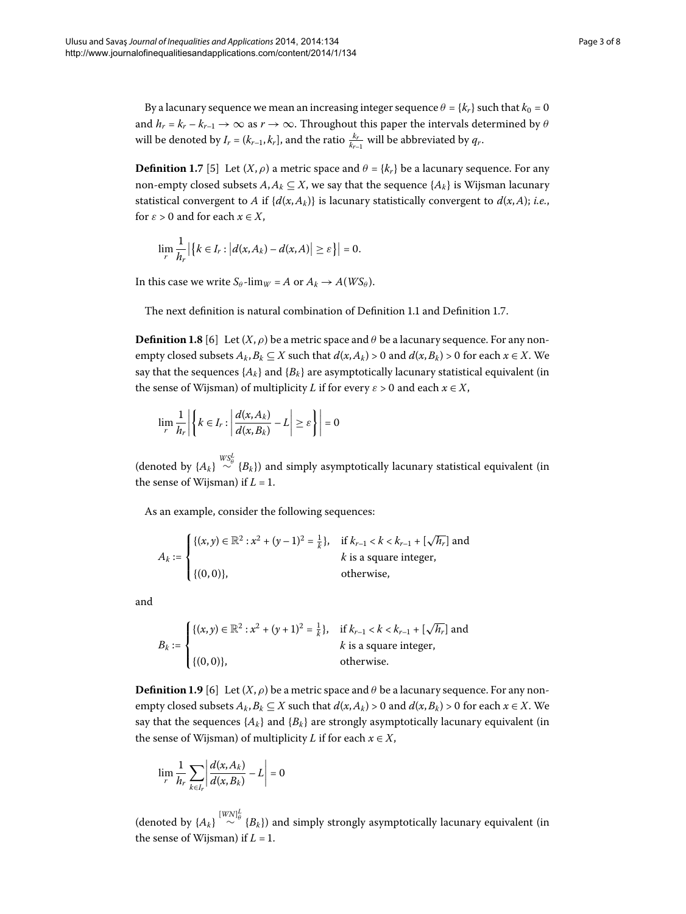<span id="page-2-0"></span>**Definition 1.7** [\[](#page-7-6)5] Let  $(X, \rho)$  a metric space and  $\theta = \{k_r\}$  be a lacunary sequence. For any non-empty closed subsets  $A, A_k \subseteq X$ , we say that the sequence  $\{A_k\}$  is Wijsman lacunary statistical convergent to *A* if  $\{d(x, A_k)\}$  is lacunary statistically convergent to  $d(x, A)$ ; *i.e.*, for  $\varepsilon > 0$  and for each  $x \in X$ ,

$$
\lim_{r} \frac{1}{h_r} \left| \left\{ k \in I_r : \left| d(x, A_k) - d(x, A) \right| \geq \varepsilon \right\} \right| = 0.
$$

In this case we write  $S_\theta$ -lim<sub>*W*</sub> = *A* or  $A_k \rightarrow A(WS_\theta)$ .

The next definition is natural combination of Definition 1[.](#page-1-0)1 and Definition 1.7.

**Definition 1.8** [6] Let  $(X, \rho)$  be a metric space and  $\theta$  be a lacunary sequence. For any nonempty closed subsets  $A_k$ ,  $B_k \subseteq X$  such that  $d(x, A_k) > 0$  and  $d(x, B_k) > 0$  for each  $x \in X$ . We say that the sequences  $\{A_k\}$  and  $\{B_k\}$  are asymptotically lacunary statistical equivalent (in the sense of Wijsman) of multiplicity *L* if for every  $\varepsilon > 0$  and each  $x \in X$ ,

$$
\lim_{r} \frac{1}{h_r} \left| \left\{ k \in I_r : \left| \frac{d(x, A_k)}{d(x, B_k)} - L \right| \ge \varepsilon \right\} \right| = 0
$$

(denoted by  $\{A_k\} \stackrel{WSL_4}{\sim} \{B_k\}$ ) and simply asymptotically lacunary statistical equivalent (in the sense of Wijsman) if  $L = 1$ .

As an example, consider the following sequences:

$$
A_k := \begin{cases} \{(x, y) \in \mathbb{R}^2 : x^2 + (y - 1)^2 = \frac{1}{k} \}, & \text{if } k_{r-1} < k < k_{r-1} + [\sqrt{h_r}] \text{ and } \\ & k \text{ is a square integer,} \\ \{(0, 0)\}, & \text{otherwise,} \end{cases}
$$

and

$$
B_k := \begin{cases} \{(x, y) \in \mathbb{R}^2 : x^2 + (y + 1)^2 = \frac{1}{k}\}, & \text{if } k_{r-1} < k < k_{r-1} + \lfloor \sqrt{h_r} \rfloor \text{ and } k \text{ is a square integer,} \\ \{(0, 0)\}, & \text{otherwise.} \end{cases}
$$

**Definition 1.9** [6[\]](#page-7-14) Let  $(X, \rho)$  be a metric space and  $\theta$  be a lacunary sequence. For any nonempty closed subsets  $A_k$ ,  $B_k \subseteq X$  such that  $d(x, A_k) > 0$  and  $d(x, B_k) > 0$  for each  $x \in X$ . We say that the sequences  $\{A_k\}$  and  $\{B_k\}$  are strongly asymptotically lacunary equivalent (in the sense of Wijsman) of multiplicity *L* if for each  $x \in X$ ,

$$
\lim_{r} \frac{1}{h_r} \sum_{k \in I_r} \left| \frac{d(x, A_k)}{d(x, B_k)} - L \right| = 0
$$

(denoted by  $\{A_k\} \stackrel{[WW]_0^L}{\sim} \{B_k\}$ ) and simply strongly asymptotically lacunary equivalent (in the sense of Wijsman) if  $L = 1$ .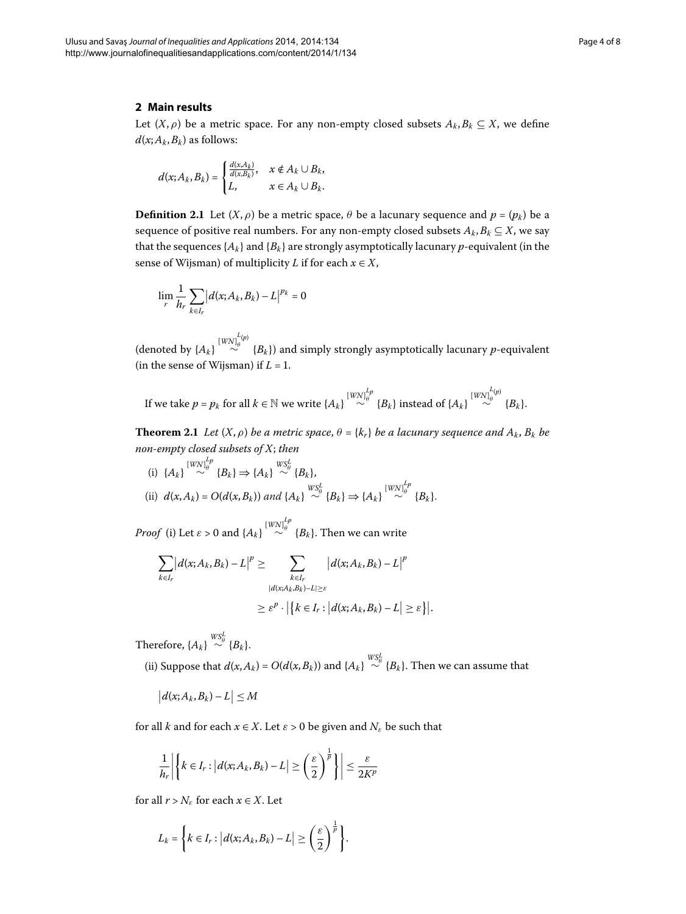#### **2 Main results**

Let  $(X, \rho)$  be a metric space. For any non-empty closed subsets  $A_k, B_k \subseteq X$ , we define  $d(x; A_k, B_k)$  as follows:

$$
d(x; A_k, B_k) = \begin{cases} \frac{d(x, A_k)}{d(x, B_k)}, & x \notin A_k \cup B_k, \\ L, & x \in A_k \cup B_k. \end{cases}
$$

**Definition 2.1** Let  $(X, \rho)$  be a metric space,  $\theta$  be a lacunary sequence and  $p = (p_k)$  be a sequence of positive real numbers. For any non-empty closed subsets  $A_k, B_k \subseteq X$ , we say that the sequences  ${A_k}$  and  ${B_k}$  are strongly asymptotically lacunary *p*-equivalent (in the sense of Wijsman) of multiplicity *L* if for each  $x \in X$ ,

$$
\lim_{r} \frac{1}{h_{r}} \sum_{k \in I_{r}} |d(x; A_{k}, B_{k}) - L|^{p_{k}} = 0
$$

(denoted by  $\{A_k\} \stackrel{[WN]_{{\theta}}^{L(p)}}{\sim}$  $\sim$  {*B<sub>k</sub>*}) and simply strongly asymptotically lacunary *p*-equivalent (in the sense of Wijsman) if  $L = 1$ .

 $\text{If we take $p=p_k$ for all $k\in\mathbb{N}$ we write $\{A_k\}$ $\overset{[WN]^{L_p}_{\theta}}\sim$ $\{B_k\}$ instead of $\{A_k\}$ $\overset{[WN]^{L_p}_{\theta}}\sim$$  $\stackrel{\text{av}_\theta}{\sim}$  {*B<sub>k</sub>*}.

**Theorem 2.1** Let  $(X, \rho)$  be a metric space,  $\theta = \{k_r\}$  be a lacunary sequence and  $A_k$ ,  $B_k$  be *non-empty closed subsets of X*; *then*

(i) 
$$
{A_k} \stackrel{[WW]_{{\theta}}^{Lp}}{\sim} {B_k} \Rightarrow {A_k} \stackrel{WS_{{\theta}}^L}{\sim} {B_k},
$$
  
\n(ii)  $d(x, A_k) = O(d(x, B_k))$  and  ${A_k} \stackrel{WS_{{\theta}}^L}{\sim} {B_k} \Rightarrow {A_k} \stackrel{[WW]_{{\theta}}^{Lp}}{\sim} {B_k}.$ 

*Proof* (i) Let  $\varepsilon > 0$  and  $\{A_k\} \stackrel{[W\mathcal{N}]^{L_p}_\theta}{\sim} \{B_k\}$ . Then we can write

$$
\sum_{k\in I_r} |d(x; A_k, B_k) - L|^p \ge \sum_{\substack{k\in I_r \\ |d(x; A_k, B_k) - L| \ge \varepsilon}} |d(x; A_k, B_k) - L|^p
$$
  
 
$$
\ge \varepsilon^p \cdot |\{k \in I_r : |d(x; A_k, B_k) - L| \ge \varepsilon\}|.
$$

Therefore,  $\{A_k\} \stackrel{WS^L_\theta}{\sim} \{B_k\}.$ 

(ii) Suppose that  $d(x, A_k) = O(d(x, B_k))$  and  $\{A_k\} \stackrel{W\leq k}{\sim} \{B_k\}$ . Then we can assume that

$$
|d(x;A_k,B_k)-L|\leq M
$$

for all *k* and for each  $x \in X$ . Let  $\varepsilon > 0$  be given and  $N_{\varepsilon}$  be such that

$$
\frac{1}{h_r}\left|\left\{k\in I_r: \left|d(x;A_k,B_k)-L\right|\geq \left(\frac{\varepsilon}{2}\right)^{\frac{1}{p}}\right\}\right|\leq \frac{\varepsilon}{2K^p}
$$

for all  $r > N_{\varepsilon}$  for each  $x \in X$ . Let

$$
L_k = \left\{ k \in I_r : \left| d(x; A_k, B_k) - L \right| \geq \left( \frac{\varepsilon}{2} \right)^{\frac{1}{p}} \right\}.
$$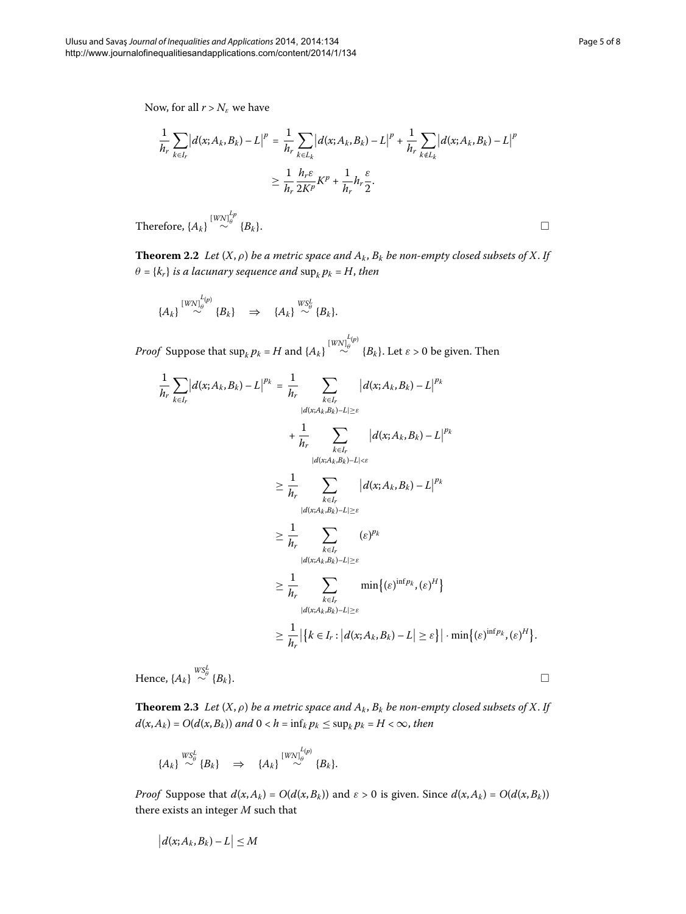Now, for all  $r > N_{\varepsilon}$  we have

$$
\frac{1}{h_r} \sum_{k \in I_r} |d(x; A_k, B_k) - L|^{p} = \frac{1}{h_r} \sum_{k \in I_k} |d(x; A_k, B_k) - L|^{p} + \frac{1}{h_r} \sum_{k \notin I_k} |d(x; A_k, B_k) - L|^{p}
$$
\n
$$
\geq \frac{1}{h_r} \frac{h_r \varepsilon}{2K^p} K^p + \frac{1}{h_r} h_r \frac{\varepsilon}{2}.
$$

Therefore,  $\{A_k\}$ <sup>[*WN*] $_{\theta}^{L_p}$ </sup>  $\{B_k\}$ .

 $\mathbf{1}$ *hr*

**Theorem 2.2** Let  $(X, \rho)$  be a metric space and  $A_k$ ,  $B_k$  be non-empty closed subsets of X. If  $\theta = \{k_r\}$  *is a lacunary sequence and*  $\sup_k p_k = H$ , *then* 

$$
\{A_k\}\stackrel{[WW]^{L(p)}_0}{\sim} \{B_k\} \quad \Rightarrow \quad \{A_k\}\stackrel{WS^L_0}{\sim} \{B_k\}.
$$

*Proof* Suppose that  $\sup_k p_k = H$  and  $\{A_k\} \stackrel{[WW]^{L_p}_{\theta}}{\sim}$  $\sim$  {*B<sub>k</sub>*}. Let *ε* > 0 be given. Then

$$
\sum_{k\in I_r} |d(x; A_k, B_k) - L|^{pk} = \frac{1}{h_r} \sum_{\substack{k\in I_r \\ |d(x; A_k, B_k) - L| \ge \varepsilon}} |d(x; A_k, B_k) - L|^{pk} \n+ \frac{1}{h_r} \sum_{\substack{k\in I_r \\ |d(x; A_k, B_k) - L| < \varepsilon}} |d(x; A_k, B_k) - L|^{pk} \n\ge \frac{1}{h_r} \sum_{\substack{k\in I_r \\ |d(x; A_k, B_k) - L| \ge \varepsilon}} |d(x; A_k, B_k) - L|^{pk} \n\ge \frac{1}{h_r} \sum_{\substack{k\in I_r \\ |d(x; A_k, B_k) - L| \ge \varepsilon}} (\varepsilon)^{pk} \n\ge \frac{1}{h_r} \sum_{\substack{k\in I_r \\ |d(x; A_k, B_k) - L| \ge \varepsilon}} \min\{(\varepsilon)^{\inf p_k}, (\varepsilon)^H\} \n\ge \frac{1}{h_r} |\{k \in I_r : |d(x; A_k, B_k) - L| \ge \varepsilon\}| \cdot \min\{(\varepsilon)^{\inf p_k}, (\varepsilon)^H\}.
$$

Hence,  $\{A_k\} \stackrel{WS^L_{\theta}}{\sim}$  $\sim$ <sup>*θ*</sup> {*B<sub>k</sub>*}.  $\Box$ 

**Theorem 2.3** Let  $(X, \rho)$  be a metric space and  $A_k$ ,  $B_k$  be non-empty closed subsets of X. If  $d(x, A_k) = O(d(x, B_k))$  *and*  $0 < h = \inf_k p_k \le \sup_k p_k = H < \infty$ , then

$$
\{A_k\} \stackrel{WS^L_\theta}{\sim} \{B_k\} \quad \Rightarrow \quad \{A_k\} \stackrel{[WW]^{L(p)}_\theta}{\sim} \{B_k\}.
$$

*Proof* Suppose that  $d(x, A_k) = O(d(x, B_k))$  and  $\varepsilon > 0$  is given. Since  $d(x, A_k) = O(d(x, B_k))$ there exists an integer *M* such that

$$
\left|d(x;A_k,B_k)-L\right|\leq M
$$

 $\Box$ 

 $\Box$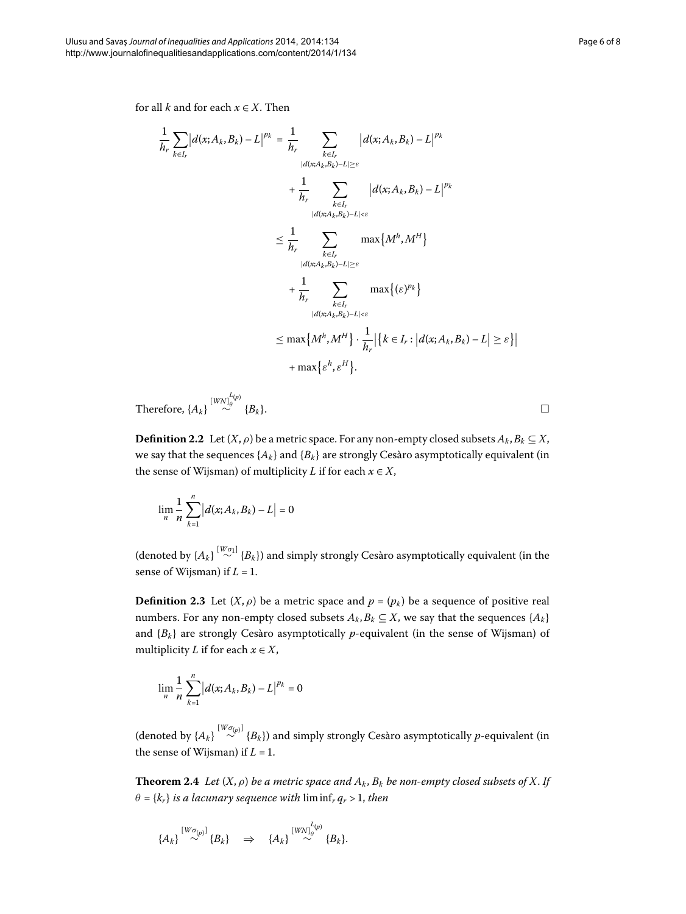for all *k* and for each  $x \in X$ . Then

$$
\frac{1}{h_r} \sum_{k \in I_r} |d(x; A_k, B_k) - L|^{p_k} = \frac{1}{h_r} \sum_{\substack{k \in I_r \\ |d(x; A_k, B_k) - L| \ge \varepsilon}} |d(x; A_k, B_k) - L|^{p_k}
$$
\n
$$
+ \frac{1}{h_r} \sum_{\substack{k \in I_r \\ |d(x; A_k, B_k) - L| < \varepsilon}} |d(x; A_k, B_k) - L|^{p_k}
$$
\n
$$
\leq \frac{1}{h_r} \sum_{\substack{k \in I_r \\ |d(x; A_k, B_k) - L| \ge \varepsilon}} \max\{M^h, M^H\}
$$
\n
$$
+ \frac{1}{h_r} \sum_{\substack{k \in I_r \\ |d(x; A_k, B_k) - L| < \varepsilon}} \max\{(\varepsilon)^{p_k}\}
$$
\n
$$
\leq \max\{M^h, M^H\} \cdot \frac{1}{h_r} |\{k \in I_r : |d(x; A_k, B_k) - L| \ge \varepsilon\}|
$$
\n
$$
+ \max\{\varepsilon^h, \varepsilon^H\}.
$$

Therefore,  $\{A_k\} \stackrel{[WN]^{L(p)}_\theta}{\sim}$  $\sim$  {*B<sub>k</sub>*}.  $\Box$ 

**Definition 2.2** Let  $(X, \rho)$  be a metric space. For any non-empty closed subsets  $A_k, B_k \subseteq X$ , we say that the sequences  $\{A_k\}$  and  $\{B_k\}$  are strongly Cesàro asymptotically equivalent (in the sense of Wijsman) of multiplicity *L* if for each  $x \in X$ ,

$$
\lim_n \frac{1}{n}\sum_{k=1}^n \left|d(x;A_k,B_k)-L\right|=0
$$

(denoted by  $\{A_k\} \stackrel{[W\sigma_1]}{\sim} \{B_k\}$ ) and simply strongly Cesàro asymptotically equivalent (in the sense of Wijsman) if  $L = 1$ .

**Definition 2.3** Let  $(X, \rho)$  be a metric space and  $p = (p_k)$  be a sequence of positive real numbers. For any non-empty closed subsets  $A_k, B_k \subseteq X$ , we say that the sequences  $\{A_k\}$ and  ${B_k}$  are strongly Cesàro asymptotically *p*-equivalent (in the sense of Wijsman) of multiplicity *L* if for each  $x \in X$ ,

$$
\lim_{n} \frac{1}{n} \sum_{k=1}^{n} |d(x; A_k, B_k) - L|^{p_k} = 0
$$

(denoted by  $\{A_k\} \stackrel{[W\sigma_{(p)}]}{\sim} \{B_k\}$ ) and simply strongly Cesàro asymptotically *p*-equivalent (in the sense of Wijsman) if  $L = 1$ .

**Theorem 2.4** Let  $(X, \rho)$  be a metric space and  $A_k$ ,  $B_k$  be non-empty closed subsets of X. If  $\theta = \{k_r\}$  *is a lacunary sequence with*  $\liminf_r q_r > 1$ , then

$$
\left\{A_k\right\}\stackrel{[W\sigma_{(p)}]}{\sim} \left\{B_k\right\}\quad \Rightarrow\quad \left\{A_k\right\}\stackrel{[WW]^{L_{(p)}}_0}{\sim} \left\{B_k\right\}.
$$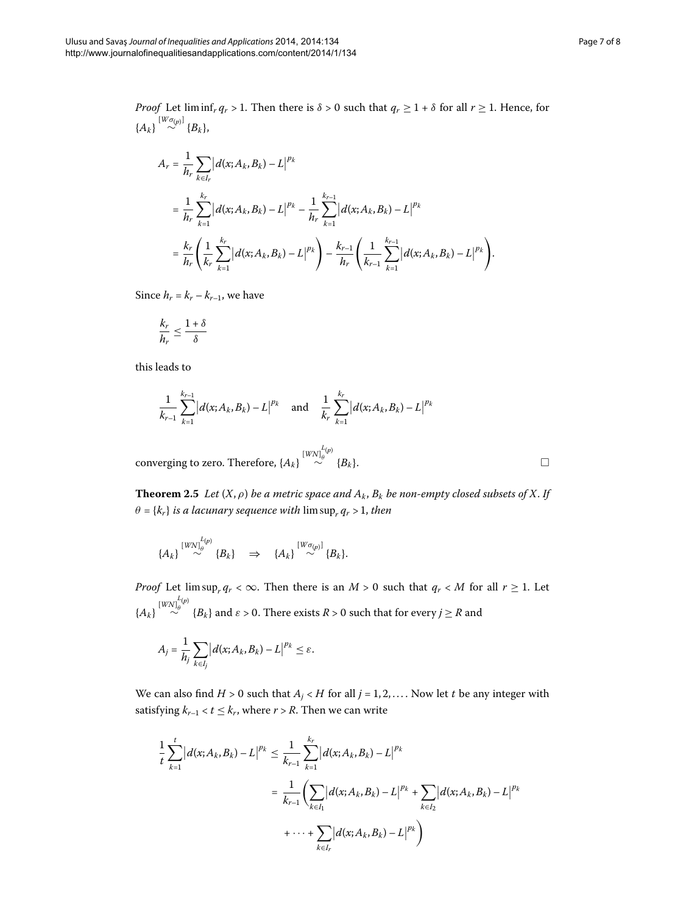$\Box$ 

*Proof* Let liminf<sub>*r*</sub>  $q_r > 1$ . Then there is  $\delta > 0$  such that  $q_r \geq 1 + \delta$  for all  $r \geq 1$ . Hence, for  ${A_k}$ <sup>[*Wσ*<sub>(*p*)</sub>]</sup>  ${B_k}$ ,

$$
A_r = \frac{1}{h_r} \sum_{k \in I_r} |d(x; A_k, B_k) - L|^{p_k}
$$
  
=  $\frac{1}{h_r} \sum_{k=1}^{k_r} |d(x; A_k, B_k) - L|^{p_k} - \frac{1}{h_r} \sum_{k=1}^{k_{r-1}} |d(x; A_k, B_k) - L|^{p_k}$   
=  $\frac{k_r}{h_r} \left( \frac{1}{k_r} \sum_{k=1}^{k_r} |d(x; A_k, B_k) - L|^{p_k} \right) - \frac{k_{r-1}}{h_r} \left( \frac{1}{k_{r-1}} \sum_{k=1}^{k_{r-1}} |d(x; A_k, B_k) - L|^{p_k} \right).$ 

Since  $h_r = k_r - k_{r-1}$ , we have

$$
\frac{k_r}{h_r} \le \frac{1+\delta}{\delta}
$$

this leads to

$$
\frac{1}{k_{r-1}}\sum_{k=1}^{k_{r-1}}|d(x;A_k,B_k)-L|^{pk} \text{ and } \frac{1}{k_r}\sum_{k=1}^{k_r}|d(x;A_k,B_k)-L|^{pk}
$$

 $\text{converging to zero. Therefore, \{A_k\}} \stackrel{[WN]_\theta^{L(p)}}{\sim}$  $\sim$  {*B<sub>k</sub>*}.  $\Box$ 

**Theorem 2.5** Let  $(X, \rho)$  be a metric space and  $A_k$ ,  $B_k$  be non-empty closed subsets of X. If  $\theta = \{k_r\}$  *is a lacunary sequence with*  $\limsup_r q_r > 1$ *, then* 

$$
\{A_k\}\stackrel{[WW]^{L(p)}_\theta}{\sim} \{B_k\} \quad \Rightarrow \quad \{A_k\}\stackrel{[W\sigma_{(p)}]}{\sim} \{B_k\}.
$$

*Proof* Let  $\limsup_{r \to \infty} q_r < \infty$ . Then there is an *M* > 0 such that  $q_r < M$  for all  $r \ge 1$ . Let  ${[WN]}_{\theta}^{L(p)}$  $\frac{d^{(1)}(B_k)}{dt^{(2)}}$  and  $\varepsilon > 0$ . There exists  $R > 0$  such that for every  $j \geq R$  and

$$
A_j = \frac{1}{h_j} \sum_{k \in I_j} \left| d(x; A_k, B_k) - L \right|^{p_k} \le \varepsilon.
$$

We can also find  $H > 0$  such that  $A_j < H$  for all  $j = 1, 2, \ldots$ . Now let  $t$  be any integer with satisfying  $k_{r-1} < t \leq k_r$ , where  $r > R$ . Then we can write

$$
\frac{1}{t} \sum_{k=1}^{t} |d(x; A_k, B_k) - L|^{p_k} \leq \frac{1}{k_{r-1}} \sum_{k=1}^{k_r} |d(x; A_k, B_k) - L|^{p_k}
$$
\n
$$
= \frac{1}{k_{r-1}} \Biggl( \sum_{k \in I_1} |d(x; A_k, B_k) - L|^{p_k} + \sum_{k \in I_2} |d(x; A_k, B_k) - L|^{p_k}
$$
\n
$$
+ \cdots + \sum_{k \in I_r} |d(x; A_k, B_k) - L|^{p_k} \Biggr)
$$